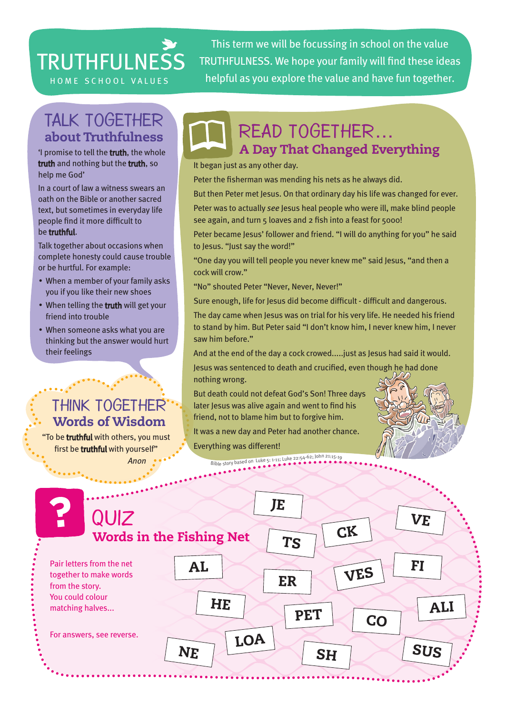# **TRUTHFULNESS**

This term we will be focussing in school on the value TRUTHFULNESS. We hope your family will find these ideas HOME SCHOOL VALUES helpful as you explore the value and have fun together.

### TALK TOGETHER about Truthfulness

'I promise to tell the truth, the whole truth and nothing but the truth, so help me God'

In a court of law a witness swears an oath on the Bible or another sacred text, but sometimes in everyday life people find it more difficult to be truthful.

Talk together about occasions when complete honesty could cause trouble or be hurtful. For example:

- When a member of your family asks you if you like their new shoes
- When telling the truth will get your friend into trouble
- When someone asks what you are thinking but the answer would hurt their feelings

## Think together Words of Wisdom

"To be truthful with others, you must first be truthful with yourself" *Anon*

# A Day That Changed Everything Read together…

It began just as any other day.

Peter the fisherman was mending his nets as he always did.

But then Peter met Jesus. On that ordinary day his life was changed for ever. Peter was to actually *see* Jesus heal people who were ill, make blind people

see again, and turn 5 loaves and 2 fish into a feast for 5000!

Peter became Jesus' follower and friend. "I will do anything for you" he said to Jesus. "Just say the word!"

"One day you will tell people you never knew me" said Jesus, "and then a cock will crow."

"No" shouted Peter "Never, Never, Never!"

Sure enough, life for Jesus did become difficult - difficult and dangerous.

The day came when Jesus was on trial for his very life. He needed his friend to stand by him. But Peter said "I don't know him, I never knew him, I never saw him before."

And at the end of the day a cock crowed.....just as Jesus had said it would.

Jesus was sentenced to death and crucified, even though he had done nothing wrong.

But death could not defeat God's Son! Three days later Jesus was alive again and went to find his friend, not to blame him but to forgive him.

It was a new day and Peter had another chance.

Everything was different! <sup>B</sup>ibl<sup>e</sup> <sup>s</sup>tor<sup>y</sup> <sup>b</sup>ase<sup>d</sup> <sup>o</sup><sup>n</sup> <sup>L</sup>uk<sup>e</sup> <sup>5</sup>: <sup>1</sup>-11; <sup>L</sup>uk<sup>e</sup> <sup>2</sup>2:54-62; <sup>J</sup>oh<sup>n</sup> <sup>2</sup>1:15-1<sup>9</sup>